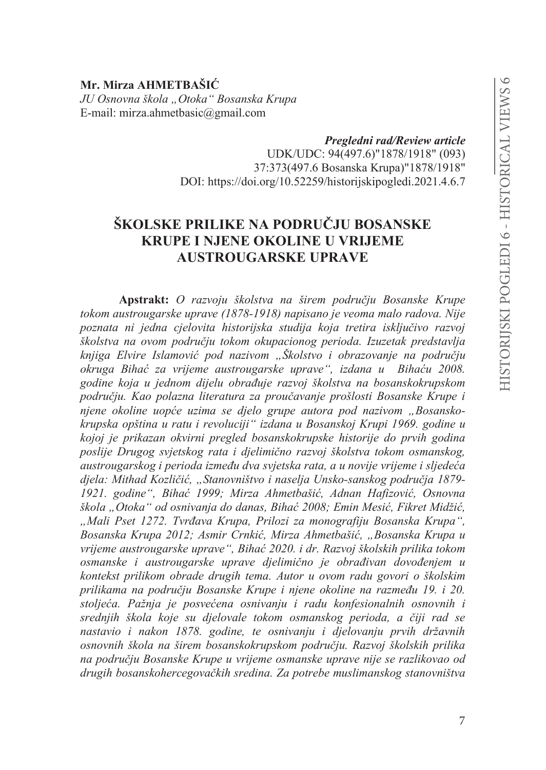Mr. Mirza AHMETBAŠIĆ JU Osnovna škola "Otoka" Bosanska Krupa E-mail: mirza.ahmetbasic@gmail.com

Pregledni rad/Review article

UDK/UDC: 94(497.6)"1878/1918" (093) 37:373(497.6 Bosanska Krupa)"1878/1918" DOI: https://doi.org/10.52259/historijskipogledi.2021.4.6.7

# ŠKOLSKE PRILIKE NA PODRUČJU BOSANSKE **KRUPE I NJENE OKOLINE U VRLJEME AUSTROUGARSKE UPRAVE**

Apstrakt: O razvoju školstva na širem području Bosanske Krupe tokom austrougarske uprave (1878-1918) napisano je veoma malo radova. Nije poznata ni jedna cjelovita historijska studija koja tretira isključivo razvoj školstva na ovom području tokom okupacionog perioda. Izuzetak predstavlja knjiga Elvire Islamović pod nazivom "Školstvo i obrazovanie na područiu okruga Bihać za vrijeme austrougarske uprave", izdana u Bihaću 2008. godine koja u jednom dijelu obrađuje razvoj školstva na bosanskokrupskom području. Kao polazna literatura za proučavanje prošlosti Bosanske Krupe i njene okoline uopće uzima se djelo grupe autora pod nazivom "Bosanskokrupska opština u ratu i revoluciji" izdana u Bosanskoj Krupi 1969. godine u kojoj je prikazan okvirni pregled bosanskokrupske historije do prvih godina poslije Drugog svjetskog rata i djelimično razvoj školstva tokom osmanskog, austrougarskog i perioda između dva svjetska rata, a u novije vrijeme i sljedeća djela: Mithad Kozličić, "Stanovništvo i naselja Unsko-sanskog područja 1879-1921. godine", Bihać 1999; Mirza Ahmetbašić, Adnan Hafizović, Osnovna škola "Otoka" od osnivanja do danas, Bihać 2008; Emin Mesić, Fikret Midžić, "Mali Pset 1272. Tvrđava Krupa, Prilozi za monografiju Bosanska Krupa", Bosanska Krupa 2012; Asmir Crnkić, Mirza Ahmetbašić, "Bosanska Krupa u vrijeme austrougarske uprave", Bihać 2020. i dr. Razvoj školskih prilika tokom osmanske i austrougarske uprave djelimično je obrađivan dovođenjem u kontekst prilikom obrade drugih tema. Autor u ovom radu govori o školskim prilikama na području Bosanske Krupe i njene okoline na razmeđu 19. i 20. stoljeća. Pažnja je posvećena osnivanju i radu konfesionalnih osnovnih i srednjih škola koje su djelovale tokom osmanskog perioda, a čiji rad se nastavio i nakon 1878. godine, te osnivanju i djelovanju prvih državnih osnovnih škola na širem bosanskokrupskom području. Razvoj školskih prilika na području Bosanske Krupe u vrijeme osmanske uprave nije se razlikovao od drugih bosanskohercegovačkih sredina. Za potrebe muslimanskog stanovništva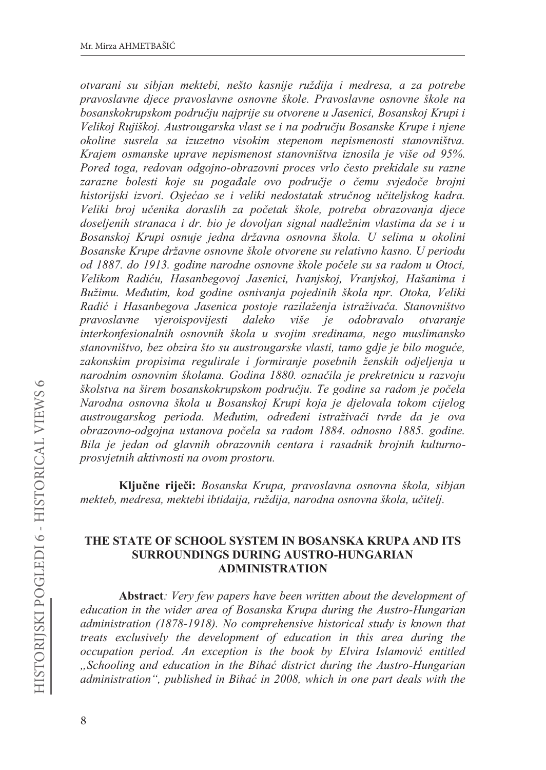otvarani su sibjan mektebi, nešto kasnije ruždija i medresa, a za potrebe pravoslavne djece pravoslavne osnovne škole. Pravoslavne osnovne škole na bosanskokrupskom području najprije su otvorene u Jasenici, Bosanskoj Krupi i Velikoj Rujiškoj. Austrougarska vlast se i na području Bosanske Krupe i njene okoline susrela sa izuzetno visokim stepenom nepismenosti stanovništva. Krajem osmanske uprave nepismenost stanovništva iznosila je više od 95%. Pored toga, redovan odgojno-obrazovni proces vrlo često prekidale su razne zarazne bolesti koje su pogađale ovo područje o čemu svjedoče brojni historijski izvori. Osjećao se i veliki nedostatak stručnog učiteljskog kadra. Veliki broj učenika doraslih za početak škole, potreba obrazovanja djece doseljenih stranaca i dr. bio je dovoljan signal nadležnim vlastima da se i u Bosanskoj Krupi osnuje jedna državna osnovna škola. U selima u okolini Bosanske Krupe državne osnovne škole otvorene su relativno kasno. U periodu od 1887. do 1913. godine narodne osnovne škole počele su sa radom u Otoci, Velikom Radiću, Hasanbegovoj Jasenici, Ivanjskoj, Vranjskoj, Hašanima i Bužimu. Međutim, kod godine osnivanja pojedinih škola npr. Otoka, Veliki Radić i Hasanbegova Jasenica postoje razilaženja istraživača. Stanovništvo pravoslavne vieroispovijesti daleko više je odobravalo otvaranje interkonfesionalnih osnovnih škola u svojim sredinama, nego muslimansko stanovništvo, bez obzira što su austrougarske vlasti, tamo gdje je bilo moguće, zakonskim propisima regulirale i formiranje posebnih ženskih odjeljenja u narodnim osnovnim školama. Godina 1880. označila je prekretnicu u razvoju školstva na širem bosanskokrupskom području. Te godine sa radom je počela Narodna osnovna škola u Bosanskoj Krupi koja je djelovala tokom cijelog austrougarskog perioda. Međutim, određeni istraživači tvrde da je ova obrazovno-odgojna ustanova počela sa radom 1884. odnosno 1885. godine. Bila je jedan od glavnih obrazovnih centara i rasadnik brojnih kulturnoprosvjetnih aktivnosti na ovom prostoru.

Ključne riječi: Bosanska Krupa, pravoslavna osnovna škola, sibjan mekteb, medresa, mektebi ibtidaija, ruždija, narodna osnovna škola, učitelj.

#### THE STATE OF SCHOOL SYSTEM IN BOSANSKA KRUPA AND ITS **SURROUNDINGS DURING AUSTRO-HUNGARIAN ADMINISTRATION**

**Abstract**: Very few papers have been written about the development of education in the wider area of Bosanska Krupa during the Austro-Hungarian administration (1878-1918). No comprehensive historical study is known that treats exclusively the development of education in this area during the occupation period. An exception is the book by Elvira Islamović entitled "Schooling and education in the Bihać district during the Austro-Hungarian administration", published in Bihać in 2008, which in one part deals with the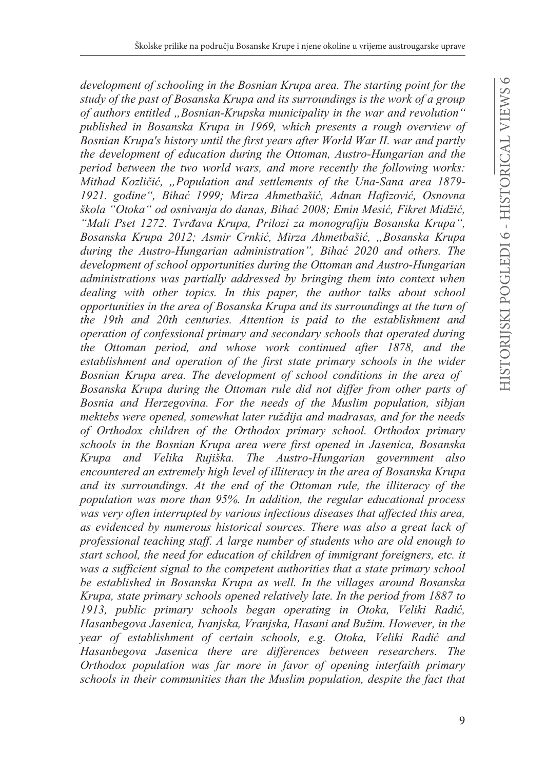*development of schooling in the Bosnian Krupa area. The starting point for the study of the past of Bosanska Krupa and its surroundings is the work of a group of authors entitled "Bosnian-Krupska municipality in the war and revolution" published in Bosanska Krupa in 1969, which presents a rough overview of Bosnian Krupa's history until the first years after World War II. war and partly the development of education during the Ottoman, Austro-Hungarian and the period between the two world wars, and more recently the following works: Mithad Kozliþiü, "Population and settlements of the Una-Sana area 1879- 1921. godine", Bihaü 1999; Mirza Ahmetbašiü, Adnan Hafizoviü, Osnovna*   $\delta$ kola "Otoka" od osnivanja do danas, Bihać 2008; Emin Mesić, Fikret Midžić, *"Mali Pset 1272. Tvrÿava Krupa, Prilozi za monografiju Bosanska Krupa", Bosanska Krupa 2012; Asmir Crnkiü, Mirza Ahmetbašiü, "Bosanska Krupa during the Austro-Hungarian administration", Bihaü 2020 and others. The development of school opportunities during the Ottoman and Austro-Hungarian administrations was partially addressed by bringing them into context when dealing with other topics. In this paper, the author talks about school opportunities in the area of Bosanska Krupa and its surroundings at the turn of the 19th and 20th centuries. Attention is paid to the establishment and operation of confessional primary and secondary schools that operated during the Ottoman period, and whose work continued after 1878, and the establishment and operation of the first state primary schools in the wider Bosnian Krupa area. The development of school conditions in the area of Bosanska Krupa during the Ottoman rule did not differ from other parts of Bosnia and Herzegovina. For the needs of the Muslim population, sibjan mektebs were opened, somewhat later ruždija and madrasas, and for the needs of Orthodox children of the Orthodox primary school. Orthodox primary schools in the Bosnian Krupa area were first opened in Jasenica, Bosanska Krupa and Velika Rujiška. The Austro-Hungarian government also encountered an extremely high level of illiteracy in the area of Bosanska Krupa and its surroundings. At the end of the Ottoman rule, the illiteracy of the population was more than 95%. In addition, the regular educational process was very often interrupted by various infectious diseases that affected this area, as evidenced by numerous historical sources. There was also a great lack of professional teaching staff. A large number of students who are old enough to start school, the need for education of children of immigrant foreigners, etc. it was a sufficient signal to the competent authorities that a state primary school be established in Bosanska Krupa as well. In the villages around Bosanska Krupa, state primary schools opened relatively late. In the period from 1887 to 1913, public primary schools began operating in Otoka, Veliki Radiü,*  Hasanbegova Jasenica, Ivanjska, Vranjska, Hasani and Bužim. However, in the *year of establishment of certain schools, e.g. Otoka, Veliki Radiü and Hasanbegova Jasenica there are differences between researchers. The Orthodox population was far more in favor of opening interfaith primary schools in their communities than the Muslim population, despite the fact that*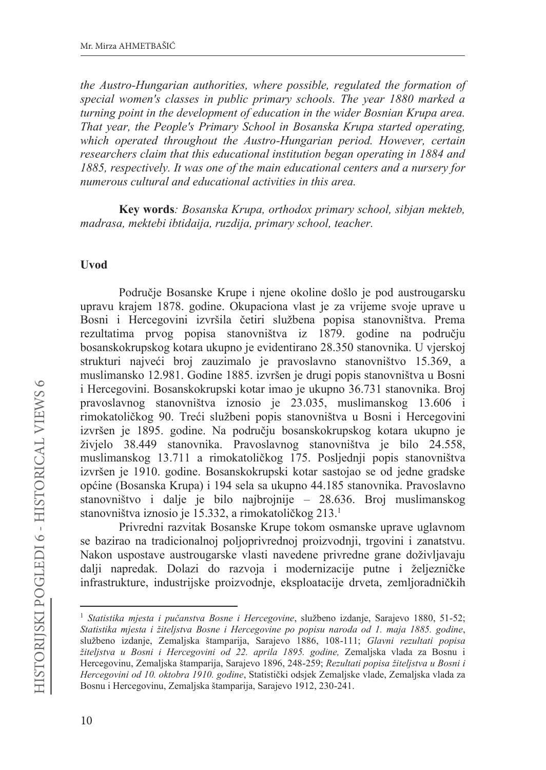the Austro-Hungarian authorities, where possible, regulated the formation of special women's classes in public primary schools. The year 1880 marked a turning point in the development of education in the wider Bosnian Krupa area. That year, the People's Primary School in Bosanska Krupa started operating, which operated throughout the Austro-Hungarian period. However, certain researchers claim that this educational institution began operating in 1884 and 1885, respectively. It was one of the main educational centers and a nursery for numerous cultural and educational activities in this area.

Key words: Bosanska Krupa, orthodox primary school, sibjan mekteb, madrasa, mektebi ibtidaija, ruzdija, primary school, teacher.

#### **Uvod**

Područie Bosanske Krupe i niene okoline došlo je pod austrougarsku upravu krajem 1878. godine. Okupaciona vlast je za vrijeme svoje uprave u Bosni i Hercegovini izvršila četiri službena popisa stanovništva. Prema rezultatima prvog popisa stanovništva iz 1879. godine na području bosanskokrupskog kotara ukupno je evidentirano 28.350 stanovnika. U vjerskoj strukturi najveći broj zauzimalo je pravoslavno stanovništvo 15.369, a muslimansko 12.981. Godine 1885. izvršen je drugi popis stanovništva u Bosni i Hercegovini. Bosanskokrupski kotar imao je ukupno 36.731 stanovnika. Broj pravoslavnog stanovništva iznosio je 23.035, muslimanskog 13.606 i rimokatoličkog 90. Treći službeni popis stanovništva u Bosni i Hercegovini izvršen je 1895. godine. Na području bosanskokrupskog kotara ukupno je živjelo 38.449 stanovnika. Pravoslavnog stanovništva je bilo 24.558, muslimanskog 13.711 a rimokatoličkog 175. Posljednji popis stanovništva izvršen je 1910. godine. Bosanskokrupski kotar sastojao se od jedne gradske općine (Bosanska Krupa) i 194 sela sa ukupno 44.185 stanovnika. Pravoslavno stanovništvo i dalje je bilo najbrojnije – 28.636. Broj muslimanskog stanovništva iznosio je 15.332, a rimokatoličkog 213.<sup>1</sup>

Privredni razvitak Bosanske Krupe tokom osmanske uprave uglavnom se bazirao na tradicionalnoj poljoprivrednoj proizvodnji, trgovini i zanatstvu. Nakon uspostave austrougarske vlasti navedene privredne grane doživljavaju dalji napredak. Dolazi do razvoja i modernizacije putne i željezničke infrastrukture, industrijske proizvodnje, eksploatacije drveta, zemljoradničkih

<sup>&</sup>lt;sup>1</sup> Statistika mjesta i pučanstva Bosne i Hercegovine, službeno izdanje, Sarajevo 1880, 51-52; Statistika mjesta i žiteljstva Bosne i Hercegovine po popisu naroda od 1. maja 1885. godine, službeno izdanje, Zemaljska štamparija, Sarajevo 1886, 108-111; Glavni rezultati popisa žiteljstva u Bosni i Hercegovini od 22. aprila 1895. godine, Zemaljska vlada za Bosnu i Hercegovinu, Zemaljska štamparija, Sarajevo 1896, 248-259; Rezultati popisa žiteljstva u Bosni i Hercegovini od 10. oktobra 1910. godine, Statistički odsjek Zemaljske vlade, Zemaljska vlada za Bosnu i Hercegovinu, Zemaljska štamparija, Sarajevo 1912, 230-241.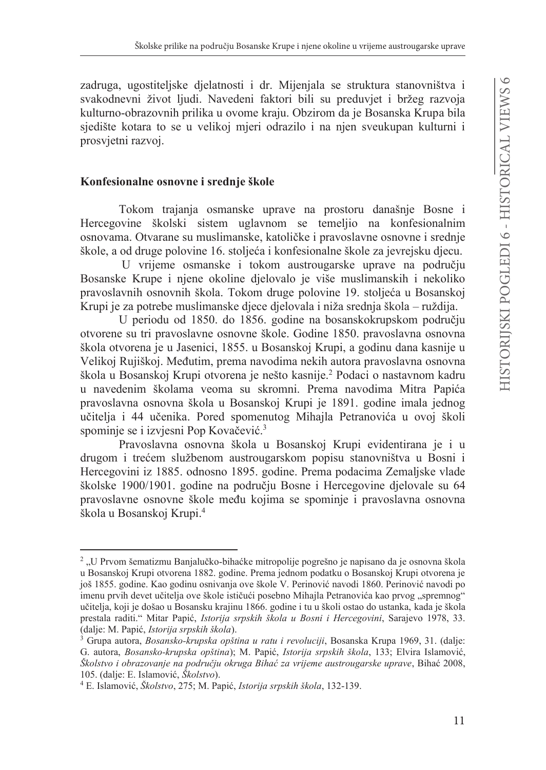zadruga, ugostiteljske djelatnosti i dr. Mijenjala se struktura stanovništva i svakodnevni život ljudi. Navedeni faktori bili su preduvjet i bržeg razvoja kulturno-obrazovnih prilika u ovome kraju. Obzirom da je Bosanska Krupa bila sjedište kotara to se u velikoj mjeri odrazilo i na njen sveukupan kulturni i prosvjetni razvoj.

#### Konfesionalne osnovne i srednje škole

Tokom trajanja osmanske uprave na prostoru današnje Bosne i Hercegovine školski sistem uglavnom se temeljio na konfesionalnim osnovama. Otvarane su muslimanske, katoličke i pravoslavne osnovne i srednje škole, a od druge polovine 16. stoljeća i konfesionalne škole za jevrejsku djecu.

U vrijeme osmanske i tokom austrougarske uprave na području Bosanske Krupe i njene okoline djelovalo je više muslimanskih i nekoliko pravoslavnih osnovnih škola. Tokom druge polovine 19. stolieća u Bosanskoj Krupi je za potrebe muslimanske djece djelovala i niža srednja škola – ruždija.

U periodu od 1850. do 1856. godine na bosanskokrupskom području otvorene su tri pravoslavne osnovne škole. Godine 1850. pravoslavna osnovna škola otvorena je u Jasenici, 1855. u Bosanskoj Krupi, a godinu dana kasnije u Velikoj Rujiškoj. Međutim, prema navodima nekih autora pravoslavna osnovna škola u Bosanskoj Krupi otvorena je nešto kasnije.<sup>2</sup> Podaci o nastavnom kadru u navedenim školama veoma su skromni. Prema navodima Mitra Papića pravoslavna osnovna škola u Bosanskoj Krupi je 1891. godine imala jednog učitelja i 44 učenika. Pored spomenutog Mihajla Petranovića u ovoj školi spominje se i izvjesni Pop Kovačević.<sup>3</sup>

Pravoslavna osnovna škola u Bosanskoj Krupi evidentirana je i u drugom i trećem službenom austrougarskom popisu stanovništva u Bosni i Hercegovini iz 1885. odnosno 1895. godine. Prema podacima Zemaljske vlade školske 1900/1901. godine na području Bosne i Hercegovine djelovale su 64 pravoslavne osnovne škole među kojima se spominje i pravoslavna osnovna škola u Bosanskoj Krupi.<sup>4</sup>

<sup>&</sup>lt;sup>2</sup> "U Prvom šematizmu Banjalučko-bihaćke mitropolije pogrešno je napisano da je osnovna škola u Bosanskoj Krupi otvorena 1882. godine. Prema jednom podatku o Bosanskoj Krupi otvorena je još 1855. godine. Kao godinu osnivanja ove škole V. Perinović navodi 1860. Perinović navodi po imenu prvih devet učitelja ove škole ističući posebno Mihajla Petranovića kao prvog "spremnog" učitelja, koji je došao u Bosansku krajinu 1866. godine i tu u školi ostao do ustanka, kada je škola prestala raditi." Mitar Papić, Istorija srpskih škola u Bosni i Hercegovini, Sarajevo 1978, 33. (dalje: M. Papić, Istorija srpskih škola).

<sup>&</sup>lt;sup>3</sup> Grupa autora, *Bosansko-krupska opština u ratu i revoluciji*, Bosanska Krupa 1969, 31. (dalje: G. autora, Bosansko-krupska opština); M. Papić, Istorija srpskih škola, 133; Elvira Islamović, Školstvo i obrazovanje na području okruga Bihać za vrijeme austrougarske uprave, Bihać 2008, 105. (dalje: E. Islamović, Školstvo).

<sup>&</sup>lt;sup>4</sup> E. Islamović, Školstvo, 275; M. Papić, Istorija srpskih škola, 132-139.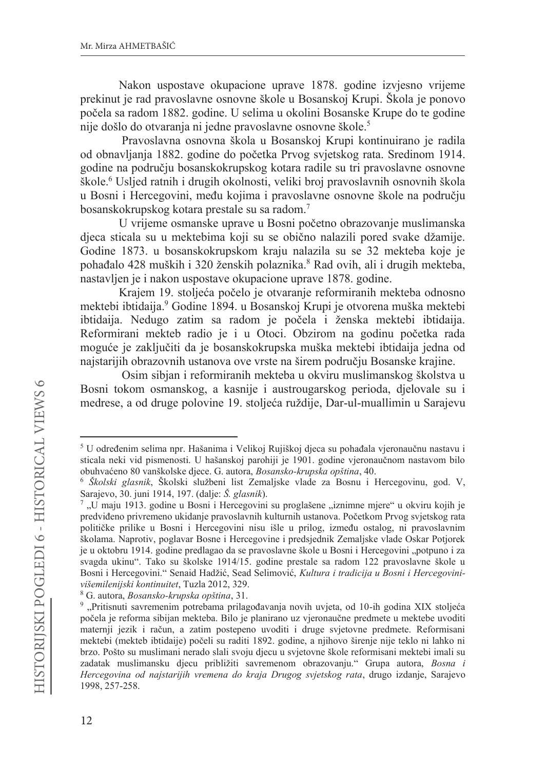Nakon uspostave okupacione uprave 1878. godine izvjesno vrijeme prekinut je rad pravoslavne osnovne škole u Bosanskoj Krupi. Škola je ponovo počela sa radom 1882. godine. U selima u okolini Bosanske Krupe do te godine nije došlo do otvaranja ni jedne pravoslavne osnovne škole.<sup>5</sup>

Pravoslavna osnovna škola u Bosanskoj Krupi kontinuirano je radila od obnavljanja 1882. godine do početka Prvog svjetskog rata. Sredinom 1914. godine na području bosanskokrupskog kotara radile su tri pravoslavne osnovne škole.<sup>6</sup> Uslied ratnih i drugih okolnosti, veliki broj pravoslavnih osnovnih škola u Bosni i Hercegovini, među kojima i pravoslavne osnovne škole na području bosanskokrupskog kotara prestale su sa radom.<sup>7</sup>

U vrijeme osmanske uprave u Bosni početno obrazovanje muslimanska djeca sticala su u mektebima koji su se obično nalazili pored svake džamije. Godine 1873. u bosanskokrupskom kraju nalazila su se 32 mekteba koje je pohađalo 428 muških i 320 ženskih polaznika.8 Rad ovih, ali i drugih mekteba, nastavljen je i nakon uspostave okupacione uprave 1878. godine.

Krajem 19. stoljeća počelo je otvaranje reformiranih mekteba odnosno mektebi ibtidaija.<sup>9</sup> Godine 1894. u Bosanskoj Krupi je otvorena muška mektebi ibtidaija. Nedugo zatim sa radom je počela i ženska mektebi ibtidaija. Reformirani mekteb radio je i u Otoci. Obzirom na godinu početka rada moguće je zaključiti da je bosanskokrupska muška mektebi ibtidaija jedna od naistarijih obrazovnih ustanova ove vrste na širem područiu Bosanske krajine.

Osim sibjan i reformiranih mekteba u okviru muslimanskog školstva u Bosni tokom osmanskog, a kasnije i austrougarskog perioda, djelovale su i medrese, a od druge polovine 19. stoljeća ruždije, Dar-ul-muallimin u Sarajevu

<sup>&</sup>lt;sup>5</sup> U određenim selima npr. Hašanima i Velikoj Rujiškoj djeca su pohađala vjeronaučnu nastavu i sticala neki vid pismenosti. U hašanskoj parohiji je 1901. godine vjeronaučnom nastavom bilo obuhvaćeno 80 vanškolske djece. G. autora, Bosansko-krupska opština, 40.

<sup>&</sup>lt;sup>6</sup> Školski glasnik, Školski službeni list Zemaljske vlade za Bosnu i Hercegovinu, god. V, Sarajevo, 30. juni 1914, 197. (dalje: Š. glasnik).

<sup>7,</sup> U maju 1913. godine u Bosni i Hercegovini su proglašene, iznimne mjere" u okviru kojih je predviđeno privremeno ukidanje pravoslavnih kulturnih ustanova. Početkom Prvog svjetskog rata političke prilike u Bosni i Hercegovini nisu išle u prilog, između ostalog, ni pravoslavnim školama. Naprotiv, poglavar Bosne i Hercegovine i predsjednik Zemaljske vlade Oskar Potjorek je u oktobru 1914. godine predlagao da se pravoslavne škole u Bosni i Hercegovini "potpuno i za svagda ukinu". Tako su školske 1914/15. godine prestale sa radom 122 pravoslavne škole u Bosni i Hercegovini." Senaid Hadžić, Sead Selimović, Kultura i tradicija u Bosni i Hercegovinivišemilenijski kontinuitet, Tuzla 2012, 329.

<sup>&</sup>lt;sup>8</sup> G. autora, *Bosansko-krupska opština*, 31.

<sup>9,</sup> Pritisnuti savremenim potrebama prilagođavanja novih uvjeta, od 10-ih godina XIX stoljeća počela je reforma sibijan mekteba. Bilo je planirano uz vjeronaučne predmete u mektebe uvoditi maternji jezik i račun, a zatim postepeno uvoditi i druge svjetovne predmete. Reformisani mektebi (mekteb ibtidaije) počeli su raditi 1892. godine, a njihovo širenje nije teklo ni lahko ni brzo. Pošto su muslimani nerado slali svoju djecu u svjetovne škole reformisani mektebi imali su zadatak muslimansku djecu približiti savremenom obrazovanju." Grupa autora, Bosna i Hercegovina od najstarijih vremena do kraja Drugog svjetskog rata, drugo izdanje, Sarajevo 1998, 257-258.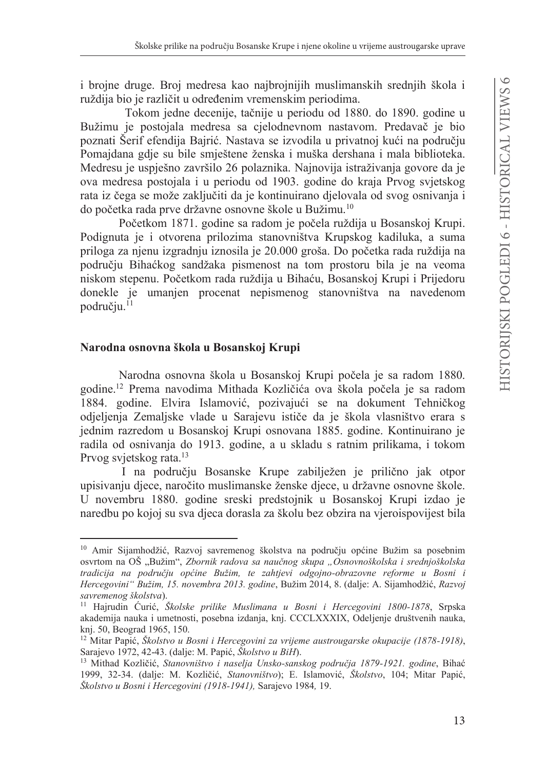i brojne druge. Broj medresa kao najbrojnijih muslimanskih srednjih škola i ruždija bio je različit u određenim vremenskim periodima.

Tokom jedne decenije, tačnije u periodu od 1880. do 1890. godine u Bužimu je postojala medresa sa cjelodnevnom nastavom. Predavač je bio poznati Šerif efendija Bajrić. Nastava se izvodila u privatnoj kući na području Pomajdana gdje su bile smještene ženska i muška dershana i mala biblioteka. Medresu je uspješno završilo 26 polaznika. Najnovija istraživanja govore da je ova medresa postojala i u periodu od 1903. godine do kraja Prvog svjetskog rata iz čega se može zaključiti da je kontinuirano djelovala od svog osnivanja i do početka rada prve državne osnovne škole u Bužimu.<sup>10</sup>

Početkom 1871. godine sa radom je počela ruždija u Bosanskoj Krupi. Podignuta je i otvorena prilozima stanovništva Krupskog kadiluka, a suma priloga za njenu izgradnju iznosila je 20.000 groša. Do početka rada ruždija na području Bihaćkog sandžaka pismenost na tom prostoru bila je na veoma niskom stepenu. Početkom rada ruždija u Bihaću, Bosanskoj Krupi i Prijedoru donekle je umanjen procenat nepismenog stanovništva na navedenom području.<sup>11</sup>

# Narodna osnovna škola u Bosanskoj Krupi

Narodna osnovna škola u Bosanskoj Krupi počela je sa radom 1880. godine.<sup>12</sup> Prema navodima Mithada Kozličića ova škola počela je sa radom 1884. godine. Elvira Islamović, pozivajući se na dokument Tehničkog odjeljenja Zemaljske vlade u Sarajevu ističe da je škola vlasništvo erara s jednim razredom u Bosanskoj Krupi osnovana 1885. godine. Kontinuirano je radila od osnivanja do 1913. godine, a u skladu s ratnim prilikama, i tokom Prvog svjetskog rata.<sup>13</sup>

I na području Bosanske Krupe zabilježen je prilično jak otpor upisivanju djece, naročito muslimanske ženske djece, u državne osnovne škole. U novembru 1880. godine sreski predstojnik u Bosanskoj Krupi izdao je naredbu po kojoj su sva djeca dorasla za školu bez obzira na vjeroispovijest bila

<sup>&</sup>lt;sup>10</sup> Amir Sijamhodžić, Razvoj savremenog školstva na području općine Bužim sa posebnim osvrtom na OŠ "Bužim", Zbornik radova sa naučnog skupa "Osnovnoškolska i srednjoškolska tradicija na području općine Bužim, te zahtjevi odgojno-obrazovne reforme u Bosni i Hercegovini" Bužim, 15. novembra 2013. godine, Bužim 2014, 8. (dalje: A. Sijamhodžić, Razvoj savremenog školstva).

<sup>&</sup>lt;sup>11</sup> Hajrudin Ćurić, Školske prilike Muslimana u Bosni i Hercegovini 1800-1878, Srpska akademija nauka i umetnosti, posebna izdanja, knj. CCCLXXXIX, Odeljenje društvenih nauka, knj. 50, Beograd 1965, 150.

<sup>&</sup>lt;sup>12</sup> Mitar Papić, Školstvo u Bosni i Hercegovini za vrijeme austrougarske okupacije (1878-1918), Sarajevo 1972, 42-43. (dalje: M. Papić, Školstvo u BiH).

<sup>&</sup>lt;sup>13</sup> Mithad Kozličić, Stanovništvo i naselja Unsko-sanskog područja 1879-1921. godine, Bihać 1999, 32-34. (dalje: M. Kozličić, *Stanovništvo*); E. Islamović, *Školstvo*, 104; Mitar Papić, Školstvo u Bosni i Hercegovini (1918-1941), Sarajevo 1984, 19.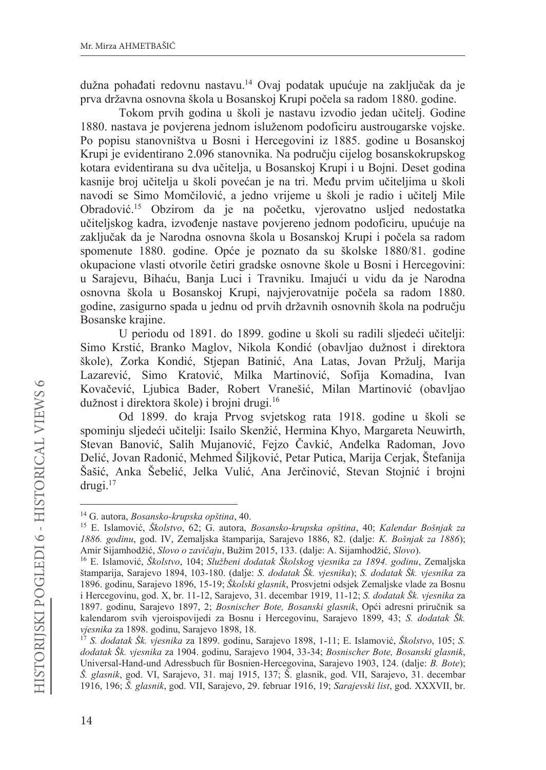dužna pohađati redovnu nastavu.<sup>14</sup> Ovaj podatak upućuje na zaključak da je prva državna osnovna škola u Bosanskoj Krupi počela sa radom 1880. godine.

Tokom prvih godina u školi je nastavu izvodio jedan učitelj. Godine 1880. nastava je povjerena jednom isluženom podoficiru austrougarske vojske. Po popisu stanovništva u Bosni i Hercegovini iz 1885. godine u Bosanskoj Krupi je evidentirano 2.096 stanovnika. Na području cijelog bosanskokrupskog kotara evidentirana su dva učitelja, u Bosanskoj Krupi i u Bojni. Deset godina kasnije broj učitelja u školi povećan je na tri. Među prvim učiteljima u školi navodi se Simo Momčilović, a jedno vrijeme u školi je radio i učitelj Mile Obradović.<sup>15</sup> Obzirom da je na početku, vjerovatno usljed nedostatka učiteljskog kadra, izvođenje nastave povjereno jednom podoficiru, upućuje na zaključak da je Narodna osnovna škola u Bosanskoj Krupi i počela sa radom spomenute 1880. godine. Opće je poznato da su školske 1880/81. godine okupacione vlasti otvorile četiri gradske osnovne škole u Bosni i Hercegovini: u Sarajevu, Bihaću, Banja Luci i Travniku. Imajući u vidu da je Narodna osnovna škola u Bosanskoj Krupi, najvjerovatnije počela sa radom 1880. godine, zasigurno spada u jednu od prvih državnih osnovnih škola na području Bosanske krajine.

U periodu od 1891. do 1899. godine u školi su radili sljedeći učitelji: Simo Krstić, Branko Maglov, Nikola Kondić (obavljao dužnost i direktora škole), Zorka Kondić, Stjepan Batinić, Ana Latas, Jovan Pržulj, Marija Lazarević, Simo Kratović, Milka Martinović, Sofija Komadina, Ivan Kovačević, Ljubica Bader, Robert Vranešić, Milan Martinović (obavljao dužnost i direktora škole) i brojni drugi.<sup>16</sup>

Od 1899. do kraja Prvog svjetskog rata 1918. godine u školi se spominju sljedeći učitelji: Isailo Skenžić, Hermina Khyo, Margareta Neuwirth, Stevan Banović, Salih Mujanović, Fejzo Čavkić, Anđelka Radoman, Jovo Delić, Jovan Radonić, Mehmed Šiljković, Petar Putica, Marija Cerjak, Štefanija Šašić, Anka Šebelić, Jelka Vulić, Ana Jerčinović, Stevan Stojnić i brojni  $drugi.<sup>17</sup>$ 

<sup>&</sup>lt;sup>14</sup> G. autora, *Bosansko-krupska opština*, 40.

<sup>&</sup>lt;sup>15</sup> E. Islamović, Školstvo, 62; G. autora, Bosansko-krupska opština, 40; Kalendar Bošnjak za 1886. godinu, god. IV, Zemaljska štamparija, Sarajevo 1886, 82. (dalje: K. Bošnjak za 1886); Amir Sijamhodžić, Slovo o zavičaju, Bužim 2015, 133. (dalje: A. Sijamhodžić, Slovo).

<sup>&</sup>lt;sup>16</sup> E. Islamović, Školstvo, 104; Službeni dodatak Školskog vjesnika za 1894. godinu, Zemaljska štamparija, Sarajevo 1894, 103-180. (dalje: S. dodatak Šk. vjesnika); S. dodatak Šk. vjesnika za 1896. godinu, Sarajevo 1896, 15-19; Školski glasnik, Prosvjetni odsjek Zemaljske vlade za Bosnu i Hercegovinu, god. X, br. 11-12, Sarajevo, 31. decembar 1919, 11-12; S. dodatak Šk. vjesnika za 1897. godinu, Sarajevo 1897, 2; Bosnischer Bote, Bosanski glasnik, Opći adresni priručnik sa kalendarom svih vjeroispovijedi za Bosnu i Hercegovinu, Sarajevo 1899, 43; S. dodatak Šk. vjesnika za 1898. godinu, Sarajevo 1898, 18.

 $^{17}$  S. dodatak Šk. vjesnika za 1899. godinu, Sarajevo 1898, 1-11; E. Islamović, Školstvo, 105; S. dodatak Šk. vjesnika za 1904. godinu, Sarajevo 1904, 33-34; Bosnischer Bote, Bosanski glasnik, Universal-Hand-und Adressbuch für Bosnien-Hercegovina, Sarajevo 1903, 124. (dalje: B. Bote); Š. glasnik, god. VI, Sarajevo, 31. maj 1915, 137; Š. glasnik, god. VII, Sarajevo, 31. decembar 1916, 196; Š. glasnik, god. VII, Sarajevo, 29. februar 1916, 19; Sarajevski list, god. XXXVII, br.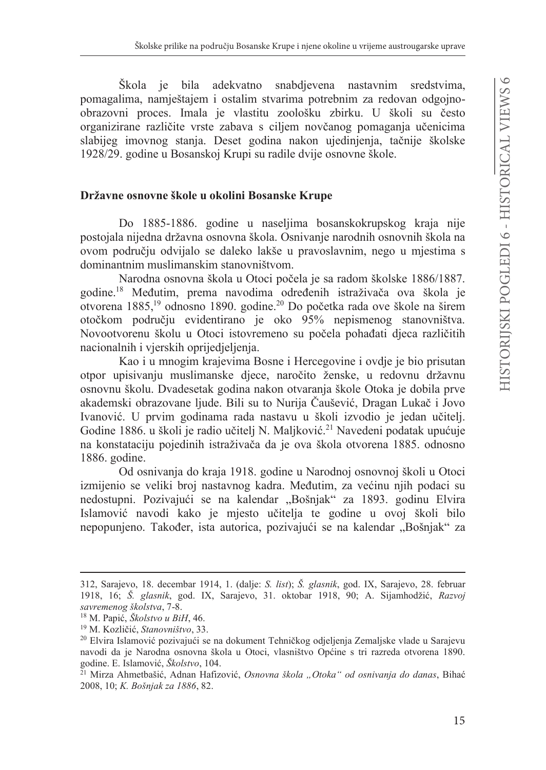Škola je bila adekvatno snabdievena nastavnim sredstvima. pomagalima, namještajem i ostalim stvarima potrebnim za redovan odgojnoobrazovni proces. Imala je vlastitu zoološku zbirku. U školi su često organizirane različite vrste zabava s ciljem novčanog pomaganja učenicima slabijeg imovnog stanja. Deset godina nakon ujedinjenja, tačnije školske 1928/29. godine u Bosanskoj Krupi su radile dvije osnovne škole.

# Državne osnovne škole u okolini Bosanske Krupe

Do 1885-1886. godine u naseljima bosanskokrupskog kraja nije postojala nijedna državna osnovna škola. Osnivanje narodnih osnovnih škola na ovom području odvijalo se daleko lakše u pravoslavnim, nego u mjestima s dominantnim muslimanskim stanovništvom

Narodna osnovna škola u Otoci počela je sa radom školske 1886/1887. godine.<sup>18</sup> Međutim, prema navodima određenih istraživača ova škola je otvorena 1885,<sup>19</sup> odnosno 1890. godine.<sup>20</sup> Do početka rada ove škole na širem otočkom području evidentirano je oko 95% nepismenog stanovništva. Novootvorenu školu u Otoci istovremeno su počela pohađati djeca različitih nacionalnih i vjerskih oprijedjeljenja.

Kao i u mnogim krajevima Bosne i Hercegovine i ovdie je bio prisutan otpor upisivanju muslimanske djece, naročito ženske, u redovnu državnu osnovnu školu. Dvadesetak godina nakon otvaranja škole Otoka je dobila prve akademski obrazovane ljude. Bili su to Nurija Čaušević, Dragan Lukač i Jovo Ivanović. U prvim godinama rada nastavu u školi izvodio je jedan učitelj. Godine 1886. u školi je radio učitelj N. Maljković.<sup>21</sup> Navedeni podatak upućuje na konstataciju pojedinih istraživača da je ova škola otvorena 1885. odnosno 1886. godine.

Od osnivanja do kraja 1918. godine u Narodnoj osnovnoj školi u Otoci izmijenio se veliki broj nastavnog kadra. Međutim, za većinu njih podaci su nedostupni. Pozivajući se na kalendar "Bošnjak" za 1893. godinu Elvira Islamović navodi kako je mjesto učitelja te godine u ovoj školi bilo nepopunjeno. Također, ista autorica, pozivajući se na kalendar "Bošnjak" za

<sup>312,</sup> Sarajevo, 18. decembar 1914, 1. (dalje: S. list); Š. glasnik, god. IX, Sarajevo, 28. februar 1918, 16; Š. glasnik, god. IX, Sarajevo, 31. oktobar 1918, 90; A. Sijamhodžić, Razvoj savremenog školstva, 7-8.

<sup>&</sup>lt;sup>18</sup> M. Papić, Školstvo u BiH, 46.

<sup>&</sup>lt;sup>19</sup> M. Kozličić, Stanovništvo, 33.

<sup>&</sup>lt;sup>20</sup> Elvira Islamović pozivajući se na dokument Tehničkog odjeljenja Zemaljske vlade u Sarajevu navodi da je Narodna osnovna škola u Otoci, vlasništvo Općine s tri razreda otvorena 1890. godine. E. Islamović, Školstvo, 104.

<sup>&</sup>lt;sup>21</sup> Mirza Ahmetbašić, Adnan Hafizović, Osnovna škola "Otoka" od osnivanja do danas, Bihać 2008, 10; K. Bošnjak za 1886, 82.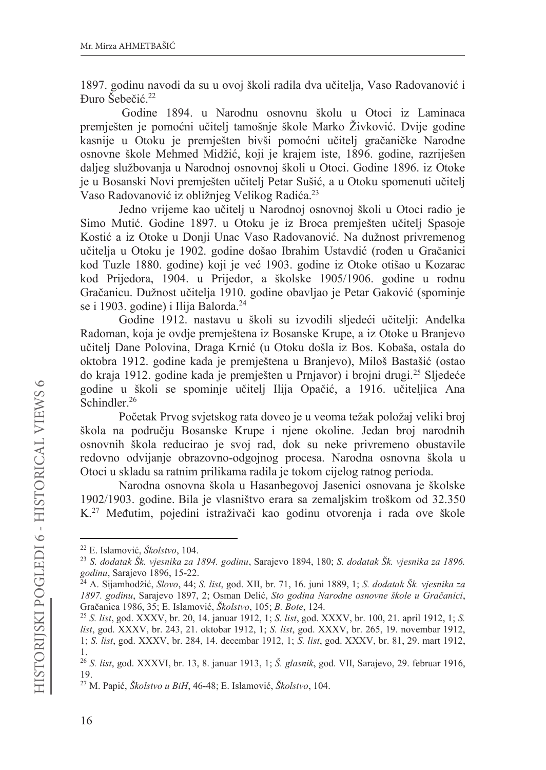1897. godinu navodi da su u ovoj školi radila dva učitelja, Vaso Radovanović i Đuro Šebečić.<sup>22</sup>

Godine 1894. u Narodnu osnovnu školu u Otoci iz Laminaca premješten je pomoćni učitelj tamošnje škole Marko Živković. Dvije godine kasnije u Otoku je premješten bivši pomoćni učitelj gračaničke Narodne osnovne škole Mehmed Midžić, koji je krajem iste, 1896. godine, razriješen daljeg službovanja u Narodnoj osnovnoj školi u Otoci. Godine 1896. iz Otoke je u Bosanski Novi premiešten učiteli Petar Sušić, a u Otoku spomenuti učiteli Vaso Radovanović iz obližnjeg Velikog Radića.<sup>23</sup>

Jedno vrijeme kao učitelj u Narodnoj osnovnoj školi u Otoci radio je Simo Mutić. Godine 1897. u Otoku je iz Broca premješten učitelj Spasoje Kostić a iz Otoke u Donji Unac Vaso Radovanović. Na dužnost privremenog učitelja u Otoku je 1902. godine došao Ibrahim Ustavdić (rođen u Gračanici kod Tuzle 1880. godine) koji je već 1903. godine iz Otoke otišao u Kozarac kod Prijedora, 1904. u Prijedor, a školske 1905/1906. godine u rodnu Gračanicu. Dužnost učitelja 1910. godine obavljao je Petar Gaković (spominje se i 1903. godine) i Ilija Balorda.<sup>24</sup>

Godine 1912. nastavu u školi su izvodili sljedeći učitelji: Anđelka Radoman, koja je ovdje premještena iz Bosanske Krupe, a iz Otoke u Branjevo učitelj Dane Polovina, Draga Krnić (u Otoku došla iz Bos. Kobaša, ostala do oktobra 1912. godine kada je premještena u Branjevo), Miloš Bastašić (ostao do kraja 1912. godine kada je premješten u Prnjavor) i brojni drugi.<sup>25</sup> Sljedeće godine u školi se spominje učitelj Ilija Opačić, a 1916. učiteljica Ana Schindler.<sup>26</sup>

Početak Prvog svjetskog rata doveo je u veoma težak položaj veliki broj škola na području Bosanske Krupe i njene okoline. Jedan broj narodnih osnovnih škola reducirao je svoj rad, dok su neke privremeno obustavile redovno odvijanje obrazovno-odgojnog procesa. Narodna osnovna škola u Otoci u skladu sa ratnim prilikama radila je tokom cijelog ratnog perioda.

Narodna osnovna škola u Hasanbegovoj Jasenici osnovana je školske 1902/1903. godine. Bila je vlasništvo erara sa zemaljskim troškom od 32.350 K.<sup>27</sup> Međutim, pojedini istraživači kao godinu otvorenja i rada ove škole

<sup>&</sup>lt;sup>22</sup> E. Islamović, Školstvo, 104.

<sup>&</sup>lt;sup>23</sup> S. dodatak Šk. vjesnika za 1894. godinu, Sarajevo 1894, 180; S. dodatak Šk. vjesnika za 1896. godinu, Sarajevo 1896, 15-22.

<sup>&</sup>lt;sup>24</sup> A. Sijamhodžić, Slovo, 44; S. list, god. XII, br. 71, 16. juni 1889, 1; S. dodatak Šk. vjesnika za 1897. godinu, Sarajevo 1897, 2; Osman Delić, Sto godina Narodne osnovne škole u Gračanici, Gračanica 1986, 35; E. Islamović, Školstvo, 105; B. Bote, 124.

<sup>&</sup>lt;sup>25</sup> S. list, god. XXXV, br. 20, 14. januar 1912, 1; S. list, god. XXXV, br. 100, 21. april 1912, 1; S. list, god. XXXV, br. 243, 21. oktobar 1912, 1; S. list, god. XXXV, br. 265, 19. novembar 1912, 1; S. list, god. XXXV, br. 284, 14. decembar 1912, 1; S. list, god. XXXV, br. 81, 29. mart 1912, 1.

<sup>&</sup>lt;sup>26</sup> S. list, god. XXXVI, br. 13, 8. januar 1913, 1; Š. glasnik, god. VII, Sarajevo, 29. februar 1916, 19.

<sup>&</sup>lt;sup>27</sup> M. Papić, Školstvo u BiH, 46-48; E. Islamović, Školstvo, 104.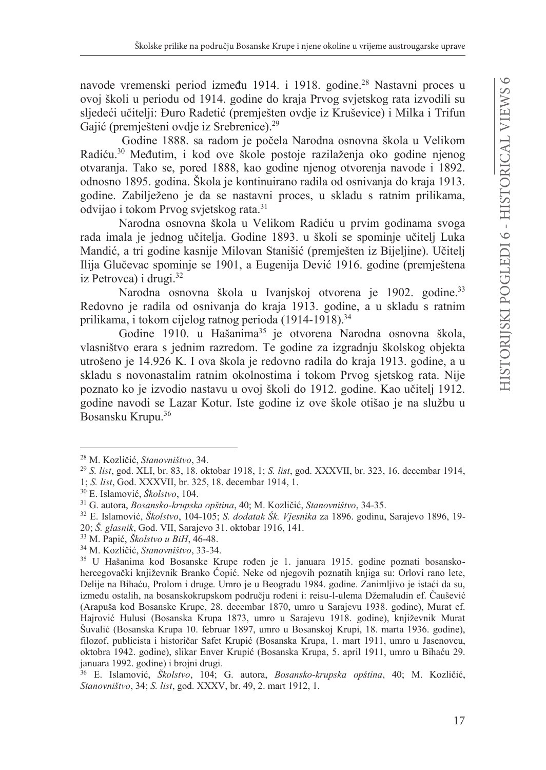navode vremenski period između 1914. i 1918. godine.<sup>28</sup> Nastavni proces u ovoj školi u periodu od 1914. godine do kraja Prvog svjetskog rata izvodili su sljedeći učitelji: Đuro Radetić (premješten ovdje iz Kruševice) i Milka i Trifun Gajić (premješteni ovdje iz Srebrenice).<sup>29</sup>

Godine 1888. sa radom je počela Narodna osnovna škola u Velikom Radiću.<sup>30</sup> Međutim, i kod ove škole postoje razilaženja oko godine njenog otvaranja. Tako se, pored 1888, kao godine njenog otvorenja navode i 1892. odnosno 1895. godina. Škola je kontinuirano radila od osnivanja do kraja 1913. godine. Zabilježeno je da se nastavni proces, u skladu s ratnim prilikama, odvijao i tokom Prvog svjetskog rata.<sup>31</sup>

Narodna osnovna škola u Velikom Radiću u prvim godinama svoga rada imala je jednog učitelja. Godine 1893. u školi se spominje učitelj Luka Mandić, a tri godine kasnije Milovan Stanišić (premješten iz Bijeljine). Učitelj Ilija Glučevac spominje se 1901, a Eugenija Dević 1916. godine (premještena iz Petrovca) i drugi. $32$ 

Narodna osnovna škola u Ivanjskoj otvorena je 1902. godine.<sup>33</sup> Redovno je radila od osnivanja do kraja 1913. godine, a u skladu s ratnim prilikama, i tokom cijelog ratnog perioda (1914-1918).<sup>34</sup>

Godine 1910. u Hašanima<sup>35</sup> je otvorena Narodna osnovna škola, vlasništvo erara s jednim razredom. Te godine za izgradnju školskog objekta utrošeno je 14.926 K. I ova škola je redovno radila do kraja 1913. godine, a u skladu s novonastalim ratnim okolnostima i tokom Prvog sjetskog rata. Nije poznato ko je izvodio nastavu u ovoj školi do 1912. godine. Kao učitelj 1912. godine navodi se Lazar Kotur. Iste godine iz ove škole otišao je na službu u Bosansku Krupu.<sup>36</sup>

<sup>&</sup>lt;sup>28</sup> M. Kozličić, Stanovništvo, 34.

<sup>&</sup>lt;sup>29</sup> S. list, god. XLI, br. 83, 18. oktobar 1918, 1; S. list, god. XXXVII, br. 323, 16. decembar 1914,

<sup>1:</sup> S. list. God. XXXVII. br. 325, 18. decembar 1914, 1.

<sup>&</sup>lt;sup>30</sup> E. Islamović, Školstvo, 104.

<sup>&</sup>lt;sup>31</sup> G. autora, Bosansko-krupska opština, 40; M. Kozličić, Stanovništvo, 34-35.

<sup>&</sup>lt;sup>32</sup> E. Islamović, *Školstvo*, 104-105; S. dodatak Šk. Vjesnika za 1896. godinu, Sarajevo 1896, 19-20; Š. glasnik, God. VII, Sarajevo 31. oktobar 1916, 141.

<sup>&</sup>lt;sup>33</sup> M. Papić, *Školstvo u BiH*, 46-48.

<sup>&</sup>lt;sup>34</sup> M. Kozličić, Stanovništvo, 33-34.

<sup>35</sup> U Hašanima kod Bosanske Krupe rođen je 1. januara 1915. godine poznati bosanskohercegovački književnik Branko Ćopić. Neke od njegovih poznatih knjiga su: Orlovi rano lete, Delije na Bihaću, Prolom i druge. Umro je u Beogradu 1984. godine. Zanimljivo je istaći da su, između ostalih, na bosanskokrupskom području rođeni i: reisu-l-ulema Džemaludin ef. Čaušević (Arapuša kod Bosanske Krupe, 28. decembar 1870, umro u Sarajevu 1938. godine), Murat ef. Hajrović Hulusi (Bosanska Krupa 1873, umro u Sarajevu 1918. godine), književnik Murat Šuvalić (Bosanska Krupa 10. februar 1897, umro u Bosanskoj Krupi, 18. marta 1936. godine), filozof, publicista i historičar Safet Krupić (Bosanska Krupa, 1. mart 1911, umro u Jasenovcu, oktobra 1942. godine), slikar Enver Krupić (Bosanska Krupa, 5. april 1911, umro u Bihaću 29. januara 1992. godine) i brojni drugi.

<sup>&</sup>lt;sup>36</sup> E. Islamović, Školstvo, 104; G. autora, Bosansko-krupska opština, 40; M. Kozličić, Stanovništvo, 34; S. list, god. XXXV, br. 49, 2. mart 1912, 1.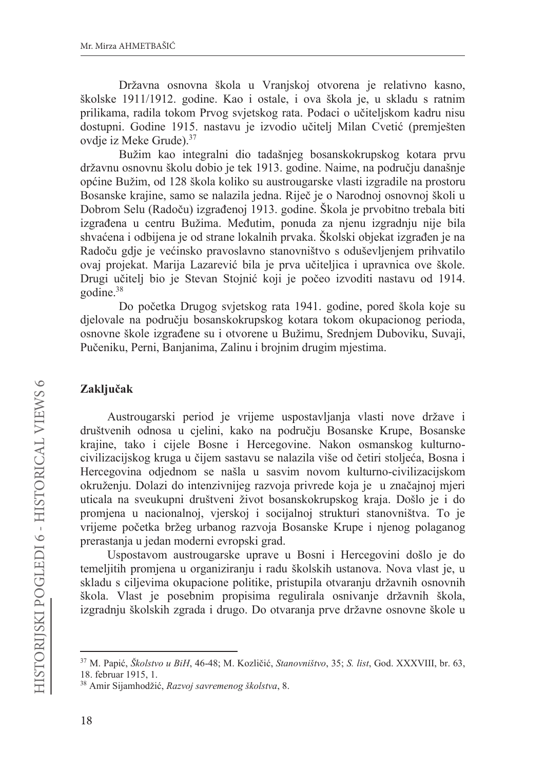Državna osnovna škola u Vranjskoj otvorena je relativno kasno, školske 1911/1912. godine. Kao i ostale, i ova škola je, u skladu s ratnim prilikama, radila tokom Prvog svjetskog rata. Podaci o učiteljskom kadru nisu dostupni. Godine 1915. nastavu je izvodio učitelj Milan Cvetić (premješten ovdie iz Meke Grude).<sup>37</sup>

Bužim kao integralni dio tadašnjeg bosanskokrupskog kotara prvu državnu osnovnu školu dobio je tek 1913. godine. Naime, na području današnje općine Bužim, od 128 škola koliko su austrougarske vlasti izgradile na prostoru Bosanske krajine, samo se nalazila jedna. Riječ je o Narodnoj osnovnoj školi u Dobrom Selu (Radoču) izgrađenoj 1913. godine. Škola je prvobitno trebala biti izgrađena u centru Bužima. Međutim, ponuda za njenu izgradnju nije bila shvaćena i odbijena je od strane lokalnih prvaka. Školski objekat izgrađen je na Radoču gdje je većinsko pravoslavno stanovništvo s oduševljenjem prihvatilo ovaj projekat. Marija Lazarević bila je prva učiteljica i upravnica ove škole. Drugi učitelj bio je Stevan Stojnić koji je počeo izvoditi nastavu od 1914. godine.<sup>38</sup>

Do početka Drugog svjetskog rata 1941. godine, pored škola koje su djelovale na području bosanskokrupskog kotara tokom okupacionog perioda, osnovne škole izgrađene su i otvorene u Bužimu, Srednjem Duboviku, Suvaji, Pučeniku, Perni, Banjanima, Zalinu i brojnim drugim mjestima.

# Zaključak

Austrougarski period je vrijeme uspostavljanja vlasti nove države i društvenih odnosa u cjelini, kako na području Bosanske Krupe, Bosanske krajine, tako i cijele Bosne i Hercegovine. Nakon osmanskog kulturnocivilizacijskog kruga u čijem sastavu se nalazila više od četiri stoljeća, Bosna i Hercegovina odjednom se našla u sasvim novom kulturno-civilizacijskom okruženju. Dolazi do intenzivnijeg razvoja privrede koja je u značajnoj mjeri uticala na sveukupni društveni život bosanskokrupskog kraja. Došlo je i do promjena u nacionalnoj, vjerskoj i socijalnoj strukturi stanovništva. To je vrijeme početka bržeg urbanog razvoja Bosanske Krupe i njenog polaganog prerastanja u jedan moderni evropski grad.

Uspostavom austrougarske uprave u Bosni i Hercegovini došlo je do temeljitih promjena u organiziranju i radu školskih ustanova. Nova vlast je, u skladu s ciljevima okupacione politike, pristupila otvaranju državnih osnovnih škola. Vlast je posebnim propisima regulirala osnivanje državnih škola, izgradnju školskih zgrada i drugo. Do otvaranja prve državne osnovne škole u

<sup>&</sup>lt;sup>37</sup> M. Papić, Školstvo u BiH, 46-48; M. Kozličić, Stanovništvo, 35; S. list, God. XXXVIII, br. 63, 18. februar 1915, 1.

<sup>38</sup> Amir Sijamhodžić, Razvoj savremenog školstva, 8.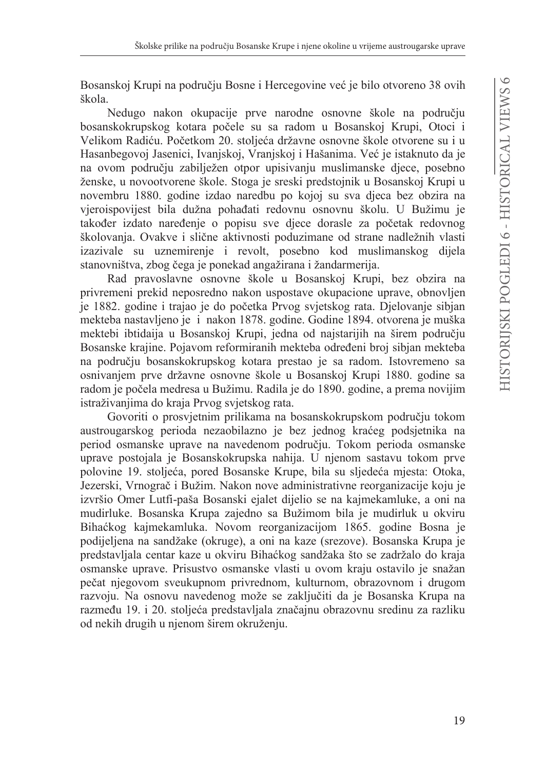Bosanskoj Krupi na području Bosne i Hercegovine već je bilo otvoreno 38 ovih škola.

Nedugo nakon okupacije prve narodne osnovne škole na području bosanskokrupskog kotara počele su sa radom u Bosanskoj Krupi, Otoci i Velikom Radiću. Početkom 20. stoljeća državne osnovne škole otvorene su i u Hasanbegovoj Jasenici, Ivanjskoj, Vranjskoj i Hašanima. Već je istaknuto da je na ovom području zabilježen otpor upisivanju muslimanske djece, posebno ženske, u novootvorene škole. Stoga je sreski predstojnik u Bosanskoj Krupi u novembru 1880. godine izdao naredbu po kojoj su sva djeca bez obzira na vjeroispovijest bila dužna pohađati redovnu osnovnu školu. U Bužimu je također izdato naređenje o popisu sve djece dorasle za početak redovnog školovanja. Ovakve i slične aktivnosti poduzimane od strane nadležnih vlasti izazivale su uznemirenje i revolt, posebno kod muslimanskog dijela stanovništva, zbog čega je ponekad angažirana i žandarmerija.

Rad pravoslavne osnovne škole u Bosanskoj Krupi, bez obzira na privremeni prekid neposredno nakon uspostave okupacione uprave, obnovljen je 1882. godine i trajao je do početka Prvog svjetskog rata. Djelovanje sibjan mekteba nastavljeno je i nakon 1878. godine. Godine 1894. otvorena je muška mektebi ibtidaija u Bosanskoj Krupi, jedna od najstarijih na širem području Bosanske krajine. Pojavom reformiranih mekteba određeni broj sibjan mekteba na području bosanskokrupskog kotara prestao je sa radom. Istovremeno sa osnivanjem prve državne osnovne škole u Bosanskoj Krupi 1880. godine sa radom je počela medresa u Bužimu. Radila je do 1890. godine, a prema novijim istraživanjima do kraja Prvog svjetskog rata.

Govoriti o prosvjetnim prilikama na bosanskokrupskom području tokom austrougarskog perioda nezaobilazno je bez jednog kraćeg podsjetnika na period osmanske uprave na navedenom području. Tokom perioda osmanske uprave postojala je Bosanskokrupska nahija. U njenom sastavu tokom prve polovine 19. stoljeća, pored Bosanske Krupe, bila su sljedeća mjesta: Otoka, Jezerski, Vrnograč i Bužim. Nakon nove administrativne reorganizacije koju je izvršio Omer Lutfi-paša Bosanski ejalet dijelio se na kajmekamluke, a oni na mudirluke. Bosanska Krupa zajedno sa Bužimom bila je mudirluk u okviru Bihaćkog kajmekamluka. Novom reorganizacijom 1865. godine Bosna je podijeljena na sandžake (okruge), a oni na kaze (srezove). Bosanska Krupa je predstavljala centar kaze u okviru Bihaćkog sandžaka što se zadržalo do kraja osmanske uprave. Prisustvo osmanske vlasti u ovom kraju ostavilo je snažan pečat njegovom sveukupnom privrednom, kulturnom, obrazovnom i drugom razvoju. Na osnovu navedenog može se zaključiti da je Bosanska Krupa na razmeđu 19. i 20. stoljeća predstavljala značajnu obrazovnu sredinu za razliku od nekih drugih u njenom širem okruženju.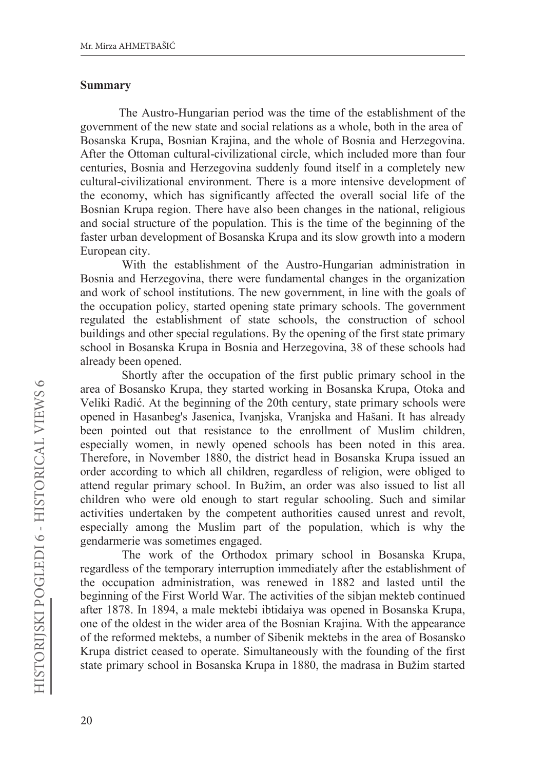#### **Summary**

The Austro-Hungarian period was the time of the establishment of the government of the new state and social relations as a whole, both in the area of Bosanska Krupa, Bosnian Krajina, and the whole of Bosnia and Herzegovina. After the Ottoman cultural-civilizational circle, which included more than four centuries, Bosnia and Herzegovina suddenly found itself in a completely new cultural-civilizational environment. There is a more intensive development of the economy, which has significantly affected the overall social life of the Bosnian Krupa region. There have also been changes in the national, religious and social structure of the population. This is the time of the beginning of the faster urban development of Bosanska Krupa and its slow growth into a modern European city.

With the establishment of the Austro-Hungarian administration in Bosnia and Herzegovina, there were fundamental changes in the organization and work of school institutions. The new government, in line with the goals of the occupation policy, started opening state primary schools. The government regulated the establishment of state schools, the construction of school buildings and other special regulations. By the opening of the first state primary school in Bosanska Krupa in Bosnia and Herzegovina, 38 of these schools had already been opened.

Shortly after the occupation of the first public primary school in the area of Bosansko Krupa, they started working in Bosanska Krupa, Otoka and Veliki Radić. At the beginning of the 20th century, state primary schools were opened in Hasanbeg's Jasenica, Ivanjska, Vranjska and Hašani. It has already been pointed out that resistance to the enrollment of Muslim children, especially women, in newly opened schools has been noted in this area. Therefore, in November 1880, the district head in Bosanska Krupa issued an order according to which all children, regardless of religion, were obliged to attend regular primary school. In Bužim, an order was also issued to list all children who were old enough to start regular schooling. Such and similar activities undertaken by the competent authorities caused unrest and revolt, especially among the Muslim part of the population, which is why the gendarmerie was sometimes engaged.

The work of the Orthodox primary school in Bosanska Krupa, regardless of the temporary interruption immediately after the establishment of the occupation administration, was renewed in 1882 and lasted until the beginning of the First World War. The activities of the sibjan mekteb continued after 1878. In 1894, a male mektebi ibtidaiya was opened in Bosanska Krupa, one of the oldest in the wider area of the Bosnian Krajina. With the appearance of the reformed mektebs, a number of Sibenik mektebs in the area of Bosansko Krupa district ceased to operate. Simultaneously with the founding of the first state primary school in Bosanska Krupa in 1880, the madrasa in Bužim started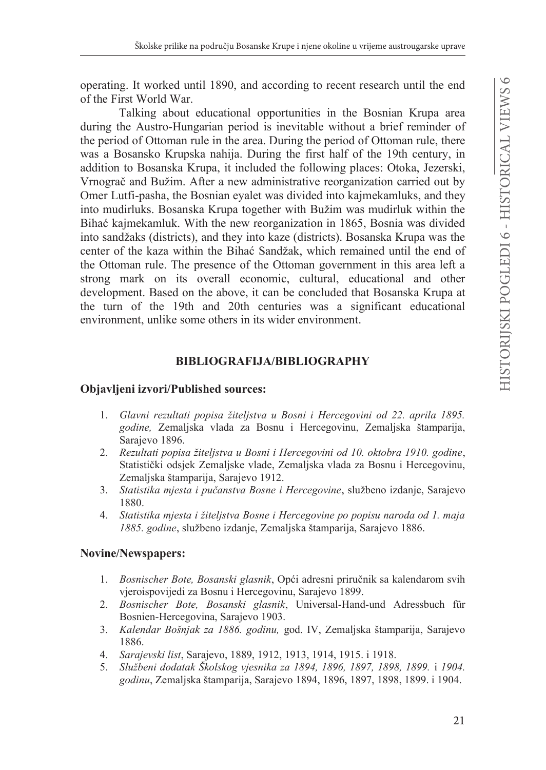operating. It worked until 1890, and according to recent research until the end of the First World War.

Talking about educational opportunities in the Bosnian Krupa area during the Austro-Hungarian period is inevitable without a brief reminder of the period of Ottoman rule in the area. During the period of Ottoman rule, there was a Bosansko Krupska nahija. During the first half of the 19th century, in addition to Bosanska Krupa, it included the following places: Otoka, Jezerski, Vrnograč and Bužim. After a new administrative reorganization carried out by Omer Lutfi-pasha, the Bosnian eyalet was divided into kajmekamluks, and they into mudirluks. Bosanska Krupa together with Bužim was mudirluk within the Bihać kajmekamluk. With the new reorganization in 1865, Bosnia was divided into sandžaks (districts), and they into kaze (districts). Bosanska Krupa was the center of the kaza within the Bihać Sandžak, which remained until the end of the Ottoman rule. The presence of the Ottoman government in this area left a strong mark on its overall economic, cultural, educational and other development. Based on the above, it can be concluded that Bosanska Krupa at the turn of the 19th and 20th centuries was a significant educational environment, unlike some others in its wider environment.

# **BIBLIOGRAFIJA/BIBLIOGRAPHY**

# **Objavljeni izvori/Published sources:**

- 1. Glavni rezultati popisa žiteljstva u Bosni i Hercegovini od 22. aprila 1895. godine, Zemaljska vlada za Bosnu i Hercegovinu, Zemaljska štamparija, Sarajevo 1896.
- 2. Rezultati popisa žitelistva u Bosni i Hercegovini od 10. oktobra 1910. godine, Statistički odsjek Zemaljske vlade, Zemaljska vlada za Bosnu i Hercegovinu, Zemaljska štamparija, Sarajevo 1912.
- 3. Statistika mjesta i pučanstva Bosne i Hercegovine, službeno izdanje, Sarajevo 1880.
- 4. Statistika mjesta i žiteljstva Bosne i Hercegovine po popisu naroda od 1. maja 1885. godine, službeno izdanje, Zemaljska štamparija, Sarajevo 1886.

# **Novine/Newspapers:**

- 1. Bosnischer Bote, Bosanski glasnik, Opći adresni priručnik sa kalendarom svih vjeroispovijedi za Bosnu i Hercegovinu, Sarajevo 1899.
- Bosnischer Bote, Bosanski glasnik, Universal-Hand-und Adressbuch für 2. Bosnien-Hercegovina, Sarajevo 1903.
- 3. Kalendar Bošnjak za 1886. godinu, god. IV, Zemaljska štamparija, Sarajevo 1886.
- 4. Sarajevski list, Sarajevo, 1889, 1912, 1913, 1914, 1915. i 1918.
- 5. Službeni dodatak Školskog vjesnika za 1894, 1896, 1897, 1898, 1899. i 1904. godinu, Zemaljska štamparija, Sarajevo 1894, 1896, 1897, 1898, 1899. i 1904.